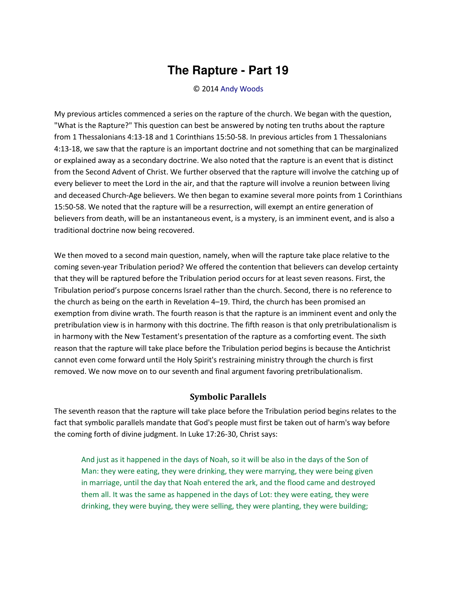## **The Rapture - Part 19**

## © 2014 [Andy Woods](http://www.spiritandtruth.org/id/aw.htm)

My previous articles commenced a series on the rapture of the church. We began with the question, "What is the Rapture?" This question can best be answered by noting ten truths about the rapture from 1 Thessalonians 4:13-18 and 1 Corinthians 15:50-58. In previous articles from 1 Thessalonians 4:13-18, we saw that the rapture is an important doctrine and not something that can be marginalized or explained away as a secondary doctrine. We also noted that the rapture is an event that is distinct from the Second Advent of Christ. We further observed that the rapture will involve the catching up of every believer to meet the Lord in the air, and that the rapture will involve a reunion between living and deceased Church-Age believers. We then began to examine several more points from 1 Corinthians 15:50-58. We noted that the rapture will be a resurrection, will exempt an entire generation of believers from death, will be an instantaneous event, is a mystery, is an imminent event, and is also a traditional doctrine now being recovered.

We then moved to a second main question, namely, when will the rapture take place relative to the coming seven-year Tribulation period? We offered the contention that believers can develop certainty that they will be raptured before the Tribulation period occurs for at least seven reasons. First, the Tribulation period's purpose concerns Israel rather than the church. Second, there is no reference to the church as being on the earth in Revelation 4–19. Third, the church has been promised an exemption from divine wrath. The fourth reason is that the rapture is an imminent event and only the pretribulation view is in harmony with this doctrine. The fifth reason is that only pretribulationalism is in harmony with the New Testament's presentation of the rapture as a comforting event. The sixth reason that the rapture will take place before the Tribulation period begins is because the Antichrist cannot even come forward until the Holy Spirit's restraining ministry through the church is first removed. We now move on to our seventh and final argument favoring pretribulationalism.

## **Symbolic Parallels**

The seventh reason that the rapture will take place before the Tribulation period begins relates to the fact that symbolic parallels mandate that God's people must first be taken out of harm's way before the coming forth of divine judgment. In Luke 17:26-30, Christ says:

And just as it happened in the days of Noah, so it will be also in the days of the Son of Man: they were eating, they were drinking, they were marrying, they were being given in marriage, until the day that Noah entered the ark, and the flood came and destroyed them all. It was the same as happened in the days of Lot: they were eating, they were drinking, they were buying, they were selling, they were planting, they were building;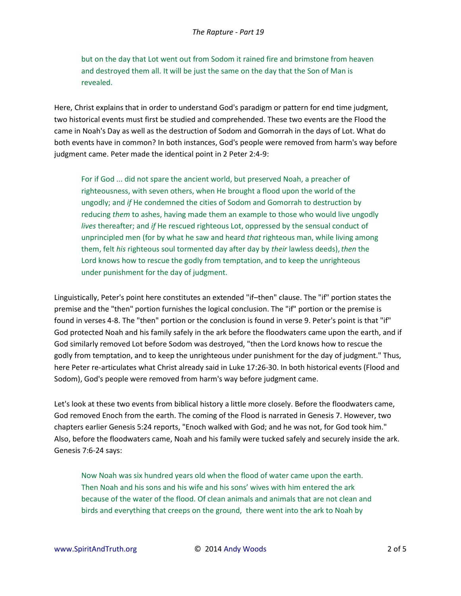but on the day that Lot went out from Sodom it rained fire and brimstone from heaven and destroyed them all. It will be just the same on the day that the Son of Man is revealed.

Here, Christ explains that in order to understand God's paradigm or pattern for end time judgment, two historical events must first be studied and comprehended. These two events are the Flood the came in Noah's Day as well as the destruction of Sodom and Gomorrah in the days of Lot. What do both events have in common? In both instances, God's people were removed from harm's way before judgment came. Peter made the identical point in 2 Peter 2:4-9:

For if God ... did not spare the ancient world, but preserved Noah, a preacher of righteousness, with seven others, when He brought a flood upon the world of the ungodly; and *if* He condemned the cities of Sodom and Gomorrah to destruction by reducing *them* to ashes, having made them an example to those who would live ungodly *lives* thereafter; and *if* He rescued righteous Lot, oppressed by the sensual conduct of unprincipled men (for by what he saw and heard *that* righteous man, while living among them, felt *his* righteous soul tormented day after day by *their* lawless deeds),*then* the Lord knows how to rescue the godly from temptation, and to keep the unrighteous under punishment for the day of judgment.

Linguistically, Peter's point here constitutes an extended "if–then" clause. The "if" portion states the premise and the "then" portion furnishes the logical conclusion. The "if" portion or the premise is found in verses 4-8. The "then" portion or the conclusion is found in verse 9. Peter's point is that "if" God protected Noah and his family safely in the ark before the floodwaters came upon the earth, and if God similarly removed Lot before Sodom was destroyed, "then the Lord knows how to rescue the godly from temptation, and to keep the unrighteous under punishment for the day of judgment." Thus, here Peter re-articulates what Christ already said in Luke 17:26-30. In both historical events (Flood and Sodom), God's people were removed from harm's way before judgment came.

Let's look at these two events from biblical history a little more closely. Before the floodwaters came, God removed Enoch from the earth. The coming of the Flood is narrated in Genesis 7. However, two chapters earlier Genesis 5:24 reports, "Enoch walked with God; and he was not, for God took him." Also, before the floodwaters came, Noah and his family were tucked safely and securely inside the ark. Genesis 7:6-24 says:

Now Noah was six hundred years old when the flood of water came upon the earth. Then Noah and his sons and his wife and his sons' wives with him entered the ark because of the water of the flood. Of clean animals and animals that are not clean and birds and everything that creeps on the ground, there went into the ark to Noah by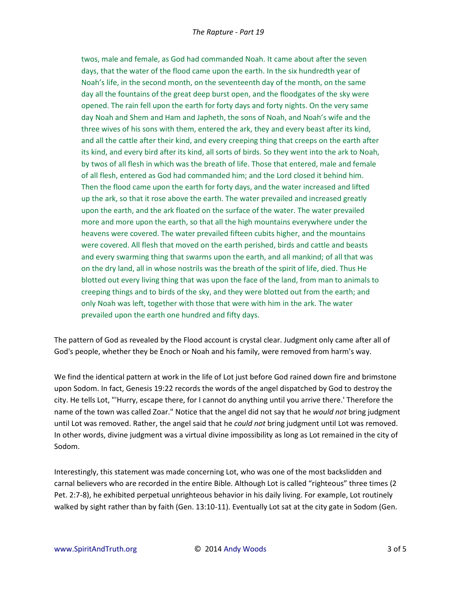twos, male and female, as God had commanded Noah. It came about after the seven days, that the water of the flood came upon the earth. In the six hundredth year of Noah's life, in the second month, on the seventeenth day of the month, on the same day all the fountains of the great deep burst open, and the floodgates of the sky were opened. The rain fell upon the earth for forty days and forty nights. On the very same day Noah and Shem and Ham and Japheth, the sons of Noah, and Noah's wife and the three wives of his sons with them, entered the ark, they and every beast after its kind, and all the cattle after their kind, and every creeping thing that creeps on the earth after its kind, and every bird after its kind, all sorts of birds. So they went into the ark to Noah, by twos of all flesh in which was the breath of life. Those that entered, male and female of all flesh, entered as God had commanded him; and the Lord closed it behind him. Then the flood came upon the earth for forty days, and the water increased and lifted up the ark, so that it rose above the earth. The water prevailed and increased greatly upon the earth, and the ark floated on the surface of the water. The water prevailed more and more upon the earth, so that all the high mountains everywhere under the heavens were covered. The water prevailed fifteen cubits higher, and the mountains were covered. All flesh that moved on the earth perished, birds and cattle and beasts and every swarming thing that swarms upon the earth, and all mankind; of all that was on the dry land, all in whose nostrils was the breath of the spirit of life, died. Thus He blotted out every living thing that was upon the face of the land, from man to animals to creeping things and to birds of the sky, and they were blotted out from the earth; and only Noah was left, together with those that were with him in the ark. The water prevailed upon the earth one hundred and fifty days.

The pattern of God as revealed by the Flood account is crystal clear. Judgment only came after all of God's people, whether they be Enoch or Noah and his family, were removed from harm's way.

We find the identical pattern at work in the life of Lot just before God rained down fire and brimstone upon Sodom. In fact, Genesis 19:22 records the words of the angel dispatched by God to destroy the city. He tells Lot, "'Hurry, escape there, for I cannot do anything until you arrive there.' Therefore the name of the town was called Zoar." Notice that the angel did not say that he *would not* bring judgment until Lot was removed. Rather, the angel said that he *could not* bring judgment until Lot was removed. In other words, divine judgment was a virtual divine impossibility as long as Lot remained in the city of Sodom.

Interestingly, this statement was made concerning Lot, who was one of the most backslidden and carnal believers who are recorded in the entire Bible. Although Lot is called "righteous" three times (2 Pet. 2:7-8), he exhibited perpetual unrighteous behavior in his daily living. For example, Lot routinely walked by sight rather than by faith (Gen. 13:10-11). Eventually Lot sat at the city gate in Sodom (Gen.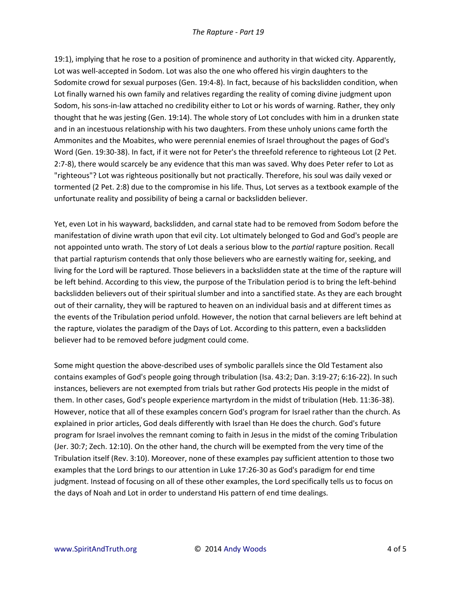19:1), implying that he rose to a position of prominence and authority in that wicked city. Apparently, Lot was well-accepted in Sodom. Lot was also the one who offered his virgin daughters to the Sodomite crowd for sexual purposes (Gen. 19:4-8). In fact, because of his backslidden condition, when Lot finally warned his own family and relatives regarding the reality of coming divine judgment upon Sodom, his sons-in-law attached no credibility either to Lot or his words of warning. Rather, they only thought that he was jesting (Gen. 19:14). The whole story of Lot concludes with him in a drunken state and in an incestuous relationship with his two daughters. From these unholy unions came forth the Ammonites and the Moabites, who were perennial enemies of Israel throughout the pages of God's Word (Gen. 19:30-38). In fact, if it were not for Peter's the threefold reference to righteous Lot (2 Pet. 2:7-8), there would scarcely be any evidence that this man was saved. Why does Peter refer to Lot as "righteous"? Lot was righteous positionally but not practically. Therefore, his soul was daily vexed or tormented (2 Pet. 2:8) due to the compromise in his life. Thus, Lot serves as a textbook example of the unfortunate reality and possibility of being a carnal or backslidden believer.

Yet, even Lot in his wayward, backslidden, and carnal state had to be removed from Sodom before the manifestation of divine wrath upon that evil city. Lot ultimately belonged to God and God's people are not appointed unto wrath. The story of Lot deals a serious blow to the *partial* rapture position. Recall that partial rapturism contends that only those believers who are earnestly waiting for, seeking, and living for the Lord will be raptured. Those believers in a backslidden state at the time of the rapture will be left behind. According to this view, the purpose of the Tribulation period is to bring the left-behind backslidden believers out of their spiritual slumber and into a sanctified state. As they are each brought out of their carnality, they will be raptured to heaven on an individual basis and at different times as the events of the Tribulation period unfold. However, the notion that carnal believers are left behind at the rapture, violates the paradigm of the Days of Lot. According to this pattern, even a backslidden believer had to be removed before judgment could come.

Some might question the above-described uses of symbolic parallels since the Old Testament also contains examples of God's people going through tribulation (Isa. 43:2; Dan. 3:19-27; 6:16-22). In such instances, believers are not exempted from trials but rather God protects His people in the midst of them. In other cases, God's people experience martyrdom in the midst of tribulation (Heb. 11:36-38). However, notice that all of these examples concern God's program for Israel rather than the church. As explained in prior articles, God deals differently with Israel than He does the church. God's future program for Israel involves the remnant coming to faith in Jesus in the midst of the coming Tribulation (Jer. 30:7; Zech. 12:10). On the other hand, the church will be exempted from the very time of the Tribulation itself (Rev. 3:10). Moreover, none of these examples pay sufficient attention to those two examples that the Lord brings to our attention in Luke 17:26-30 as God's paradigm for end time judgment. Instead of focusing on all of these other examples, the Lord specifically tells us to focus on the days of Noah and Lot in order to understand His pattern of end time dealings.